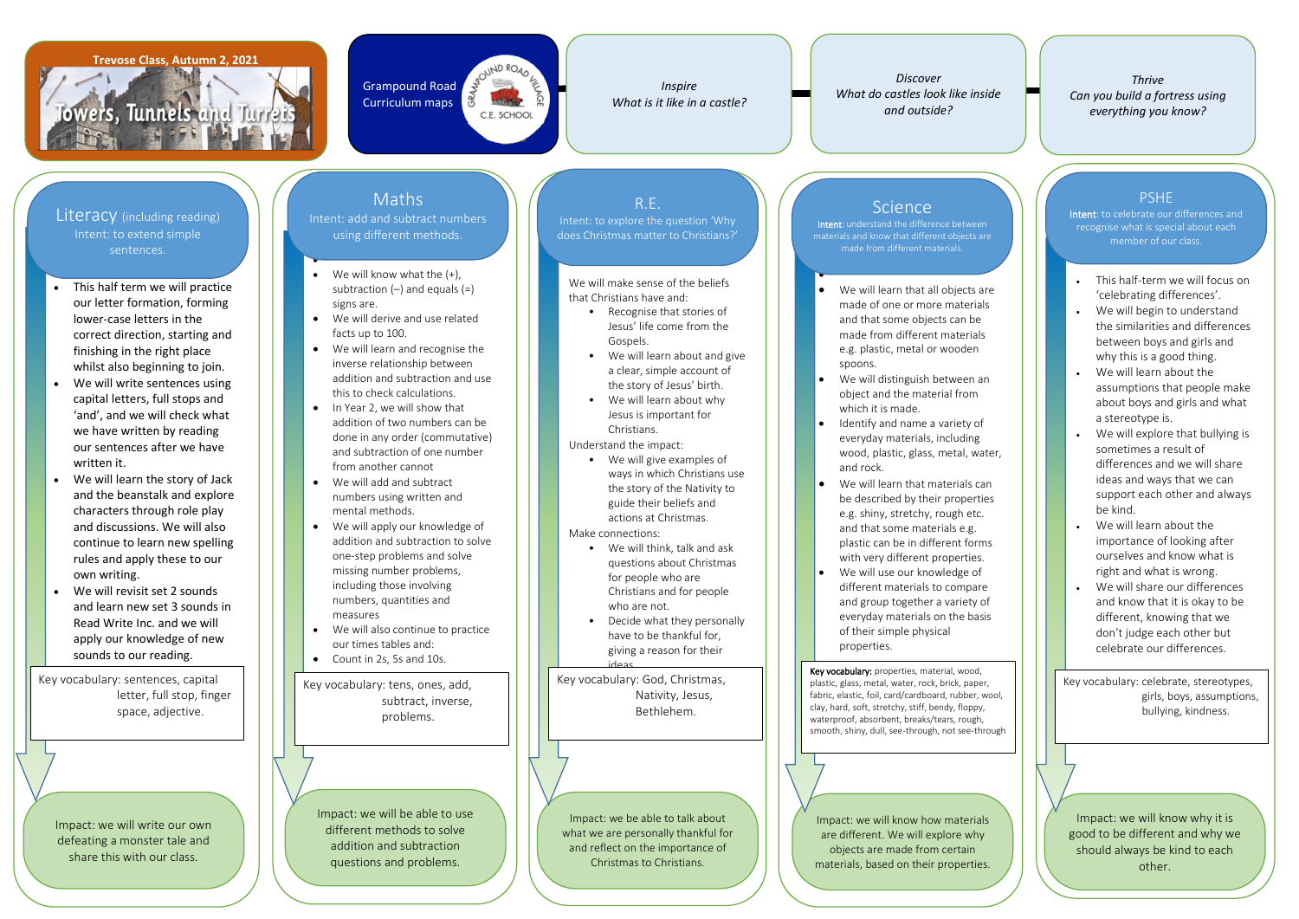#### **Trevose Class, Autumn 2, 2021**

Towers, Tunnels and Turrets

- This half term we will practice our letter formation, forming lower-case letters in the correct direction, starting and finishing in the right place whilst also beginning to join.
- We will write sentences using capital letters, full stops and 'and', and we will check what we have written by reading our sentences after we have written it.
- We will learn the story of Jack and the beanstalk and explore characters through role play and discussions. We will also continue to learn new spelling rules and apply these to our own writing.
- We will revisit set 2 sounds and learn new set 3 sounds in Read Write Inc. and we will apply our knowledge of new sounds to our reading.

We will know what the  $(+)$ , subtraction  $(-)$  and equals  $(=)$ signs are.



*Discover What do castles look like inside and outside?*

- We will derive and use related facts up to 100.
- We will learn and recognise the inverse relationship between addition and subtraction and use this to check calculations.
- In Year 2, we will show that addition of two numbers can be done in any order (commutative) and subtraction of one number from another cannot
- We will add and subtract numbers using written and mental methods.
- We will apply our knowledge of addition and subtraction to solve one-step problems and solve missing number problems, including those involving numbers, quantities and measures
- We will also continue to practice our times tables and:
- Count in 2s, 5s and 10s.

We will make sense of the beliefs that Christians have and:

*Inspire What is it like in a castle?*

•

- We will learn that all objects are made of one or more materials and that some objects can be made from different materials e.g. plastic, metal or wooden spoons.
- We will distinguish between an object and the material from which it is made.
- Identify and name a variety of everyday materials, including wood, plastic, glass, metal, water, and rock.
- We will learn that materials can be described by their properties e.g. shiny, stretchy, rough etc. and that some materials e.g. plastic can be in different forms with very different properties.
- We will use our knowledge of different materials to compare and group together a variety of everyday materials on the basis of their simple physical properties.
- Recognise that stories of Jesus' life come from the Gospels.
- We will learn about and give a clear, simple account of the story of Jesus' birth.
- Jesus is important for Christians.
- 
- We will learn about why

• Understand the impact:

• We will give examples of ways in which Christians use the story of the Nativity to guide their beliefs and actions at Christmas.

• Make connections:

- We will think, talk and ask questions about Christmas for people who are Christians and for people who are not.
- Decide what they personally have to be thankful for, giving a reason for their
- 
- ideas.

•



• materials and know that different objects are Intent: understand the difference between made from different materials.

Impact: we will write our own defeating a monster tale and share this with our class.

Impact: we will be able to use different methods to solve addition and subtraction questions and problems.

Impact: we be able to talk about what we are personally thankful for and reflect on the importance of Christmas to Christians.

## **Science**

Impact: we will know how materials are different. We will explore why objects are made from certain materials, based on their properties.

Literacy (including reading) Intent: to extend simple sentences.

# Maths

Intent: add and subtract numbers using different methods.

## R.E.

Intent: to explore the question 'Why

does Christmas matter to Christians?'

Key vocabulary: sentences, capital letter, full stop, finger space, adjective.

Key vocabulary: tens, ones, add, subtract, inverse, problems.

Key vocabulary: God, Christmas, Nativity, Jesus, Bethlehem.

Key vocabulary: properties, material, wood, plastic, glass, metal, water, rock, brick, paper, fabric, elastic, foil, card/cardboard, rubber, wool, clay, hard, soft, stretchy, stiff, bendy, floppy, waterproof, absorbent, breaks/tears, rough, smooth, shiny, dull, see-through, not see-through